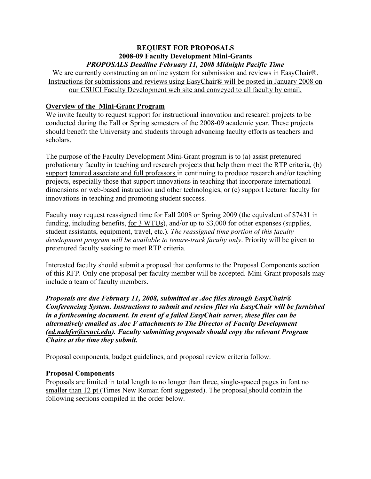## **REQUEST FOR PROPOSALS 2008-09 Faculty Development Mini-Grants** *PROPOSALS Deadline February 11, 2008 Midnight Pacific Time*

We are currently constructing an online system for submission and reviews in EasyChair®. Instructions for submissions and reviews using EasyChair® will be posted in January 2008 on our CSUCI Faculty Development web site and conveyed to all faculty by email.

# **Overview of the Mini-Grant Program**

We invite faculty to request support for instructional innovation and research projects to be conducted during the Fall or Spring semesters of the 2008-09 academic year. These projects should benefit the University and students through advancing faculty efforts as teachers and scholars.

The purpose of the Faculty Development Mini-Grant program is to (a) assist pretenured probationary faculty in teaching and research projects that help them meet the RTP criteria, (b) support tenured associate and full professors in continuing to produce research and/or teaching projects, especially those that support innovations in teaching that incorporate international dimensions or web-based instruction and other technologies, or (c) support lecturer faculty for innovations in teaching and promoting student success.

Faculty may request reassigned time for Fall 2008 or Spring 2009 (the equivalent of \$7431 in funding, including benefits, for 3 WTUs), and/or up to \$3,000 for other expenses (supplies, student assistants, equipment, travel, etc.). *The reassigned time portion of this faculty development program will be available to tenure-track faculty only*. Priority will be given to pretenured faculty seeking to meet RTP criteria.

Interested faculty should submit a proposal that conforms to the Proposal Components section of this RFP. Only one proposal per faculty member will be accepted. Mini-Grant proposals may include a team of faculty members.

*Proposals are due February 11, 2008, submitted as .doc files through EasyChair® Conferencing System. Instructions to submit and review files via EasyChair will be furnished in a forthcoming document. In event of a failed EasyChair server, these files can be alternatively emailed as .doc F attachments to The Director of Faculty Development (ed.nuhfer@csuci.edu). Faculty submitting proposals should copy the relevant Program Chairs at the time they submit.*

Proposal components, budget guidelines, and proposal review criteria follow.

## **Proposal Components**

Proposals are limited in total length to no longer than three, single-spaced pages in font no smaller than 12 pt (Times New Roman font suggested). The proposal should contain the following sections compiled in the order below.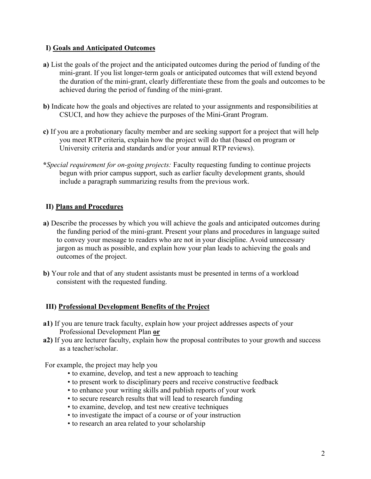## **I) Goals and Anticipated Outcomes**

- **a)** List the goals of the project and the anticipated outcomes during the period of funding of the mini-grant. If you list longer-term goals or anticipated outcomes that will extend beyond the duration of the mini-grant, clearly differentiate these from the goals and outcomes to be achieved during the period of funding of the mini-grant.
- **b)** Indicate how the goals and objectives are related to your assignments and responsibilities at CSUCI, and how they achieve the purposes of the Mini-Grant Program.
- **c)** If you are a probationary faculty member and are seeking support for a project that will help you meet RTP criteria, explain how the project will do that (based on program or University criteria and standards and/or your annual RTP reviews).
- **\****Special requirement for on-going projects:* Faculty requesting funding to continue projects begun with prior campus support, such as earlier faculty development grants, should include a paragraph summarizing results from the previous work.

## **II) Plans and Procedures**

- **a)** Describe the processes by which you will achieve the goals and anticipated outcomes during the funding period of the mini-grant. Present your plans and procedures in language suited to convey your message to readers who are not in your discipline. Avoid unnecessary jargon as much as possible, and explain how your plan leads to achieving the goals and outcomes of the project.
- **b)** Your role and that of any student assistants must be presented in terms of a workload consistent with the requested funding.

# **III) Professional Development Benefits of the Project**

- **a1)** If you are tenure track faculty, explain how your project addresses aspects of your Professional Development Plan **or**
- **a2)** If you are lecturer faculty, explain how the proposal contributes to your growth and success as a teacher/scholar.

For example, the project may help you

- to examine, develop, and test a new approach to teaching
- to present work to disciplinary peers and receive constructive feedback
- to enhance your writing skills and publish reports of your work
- to secure research results that will lead to research funding
- to examine, develop, and test new creative techniques
- to investigate the impact of a course or of your instruction
- to research an area related to your scholarship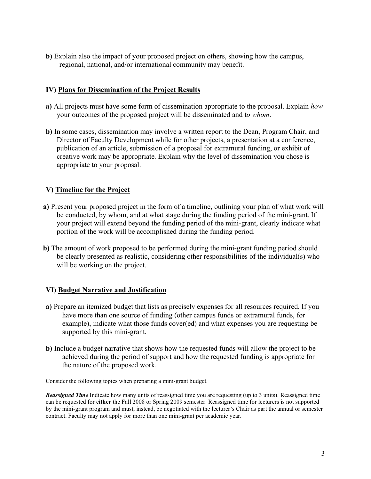**b)** Explain also the impact of your proposed project on others, showing how the campus, regional, national, and/or international community may benefit.

# **IV) Plans for Dissemination of the Project Results**

- **a)** All projects must have some form of dissemination appropriate to the proposal. Explain *how* your outcomes of the proposed project will be disseminated and t*o whom*.
- **b)** In some cases, dissemination may involve a written report to the Dean, Program Chair, and Director of Faculty Development while for other projects, a presentation at a conference, publication of an article, submission of a proposal for extramural funding, or exhibit of creative work may be appropriate. Explain why the level of dissemination you chose is appropriate to your proposal.

# **V) Timeline for the Project**

- **a)** Present your proposed project in the form of a timeline, outlining your plan of what work will be conducted, by whom, and at what stage during the funding period of the mini-grant. If your project will extend beyond the funding period of the mini-grant, clearly indicate what portion of the work will be accomplished during the funding period.
- **b)** The amount of work proposed to be performed during the mini-grant funding period should be clearly presented as realistic, considering other responsibilities of the individual(s) who will be working on the project.

## **VI) Budget Narrative and Justification**

- **a)** Prepare an itemized budget that lists as precisely expenses for all resources required. If you have more than one source of funding (other campus funds or extramural funds, for example), indicate what those funds cover(ed) and what expenses you are requesting be supported by this mini-grant.
- **b)** Include a budget narrative that shows how the requested funds will allow the project to be achieved during the period of support and how the requested funding is appropriate for the nature of the proposed work.

Consider the following topics when preparing a mini-grant budget.

*Reassigned Time* Indicate how many units of reassigned time you are requesting (up to 3 units). Reassigned time can be requested for **either** the Fall 2008 or Spring 2009 semester. Reassigned time for lecturers is not supported by the mini-grant program and must, instead, be negotiated with the lecturer's Chair as part the annual or semester contract. Faculty may not apply for more than one mini-grant per academic year.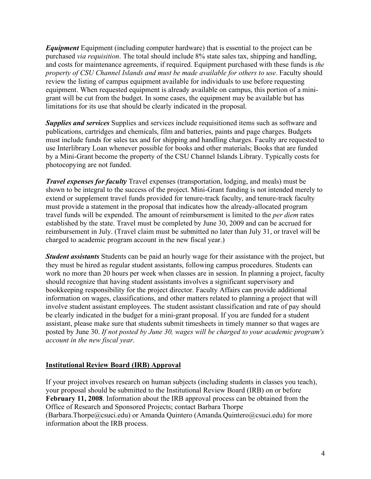*Equipment* Equipment (including computer hardware) that is essential to the project can be purchased *via requisition*. The total should include 8% state sales tax, shipping and handling, and costs for maintenance agreements, if required. Equipment purchased with these funds is *the property of CSU Channel Islands and must be made available for others to use*. Faculty should review the listing of campus equipment available for individuals to use before requesting equipment. When requested equipment is already available on campus, this portion of a minigrant will be cut from the budget. In some cases, the equipment may be available but has limitations for its use that should be clearly indicated in the proposal.

*Supplies and services* Supplies and services include requisitioned items such as software and publications, cartridges and chemicals, film and batteries, paints and page charges. Budgets must include funds for sales tax and for shipping and handling charges. Faculty are requested to use Interlibrary Loan whenever possible for books and other materials; Books that are funded by a Mini-Grant become the property of the CSU Channel Islands Library. Typically costs for photocopying are not funded.

*Travel expenses for faculty* Travel expenses (transportation, lodging, and meals) must be shown to be integral to the success of the project. Mini-Grant funding is not intended merely to extend or supplement travel funds provided for tenure-track faculty, and tenure-track faculty must provide a statement in the proposal that indicates how the already-allocated program travel funds will be expended. The amount of reimbursement is limited to the *per diem* rates established by the state. Travel must be completed by June 30, 2009 and can be accrued for reimbursement in July. (Travel claim must be submitted no later than July 31, or travel will be charged to academic program account in the new fiscal year.)

*Student assistants* Students can be paid an hourly wage for their assistance with the project, but they must be hired as regular student assistants, following campus procedures. Students can work no more than 20 hours per week when classes are in session. In planning a project, faculty should recognize that having student assistants involves a significant supervisory and bookkeeping responsibility for the project director. Faculty Affairs can provide additional information on wages, classifications, and other matters related to planning a project that will involve student assistant employees. The student assistant classification and rate of pay should be clearly indicated in the budget for a mini-grant proposal. If you are funded for a student assistant, please make sure that students submit timesheets in timely manner so that wages are posted by June 30. *If not posted by June 30, wages will be charged to your academic program's account in the new fiscal year*.

## **Institutional Review Board (IRB) Approval**

If your project involves research on human subjects (including students in classes you teach), your proposal should be submitted to the Institutional Review Board (IRB) on or before **February 11, 2008**. Information about the IRB approval process can be obtained from the Office of Research and Sponsored Projects; contact Barbara Thorpe (Barbara.Thorpe@csuci.edu) or Amanda Quintero (Amanda.Quintero@csuci.edu) for more information about the IRB process.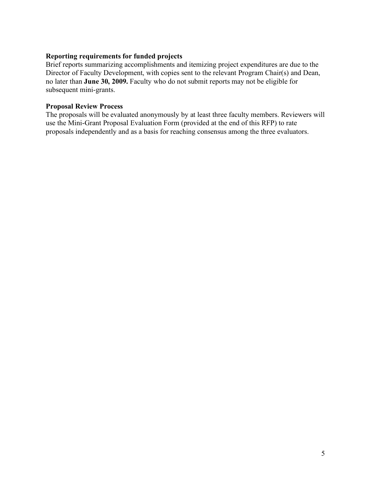## **Reporting requirements for funded projects**

Brief reports summarizing accomplishments and itemizing project expenditures are due to the Director of Faculty Development, with copies sent to the relevant Program Chair(s) and Dean, no later than **June 30, 2009.** Faculty who do not submit reports may not be eligible for subsequent mini-grants.

## **Proposal Review Process**

The proposals will be evaluated anonymously by at least three faculty members. Reviewers will use the Mini-Grant Proposal Evaluation Form (provided at the end of this RFP) to rate proposals independently and as a basis for reaching consensus among the three evaluators.